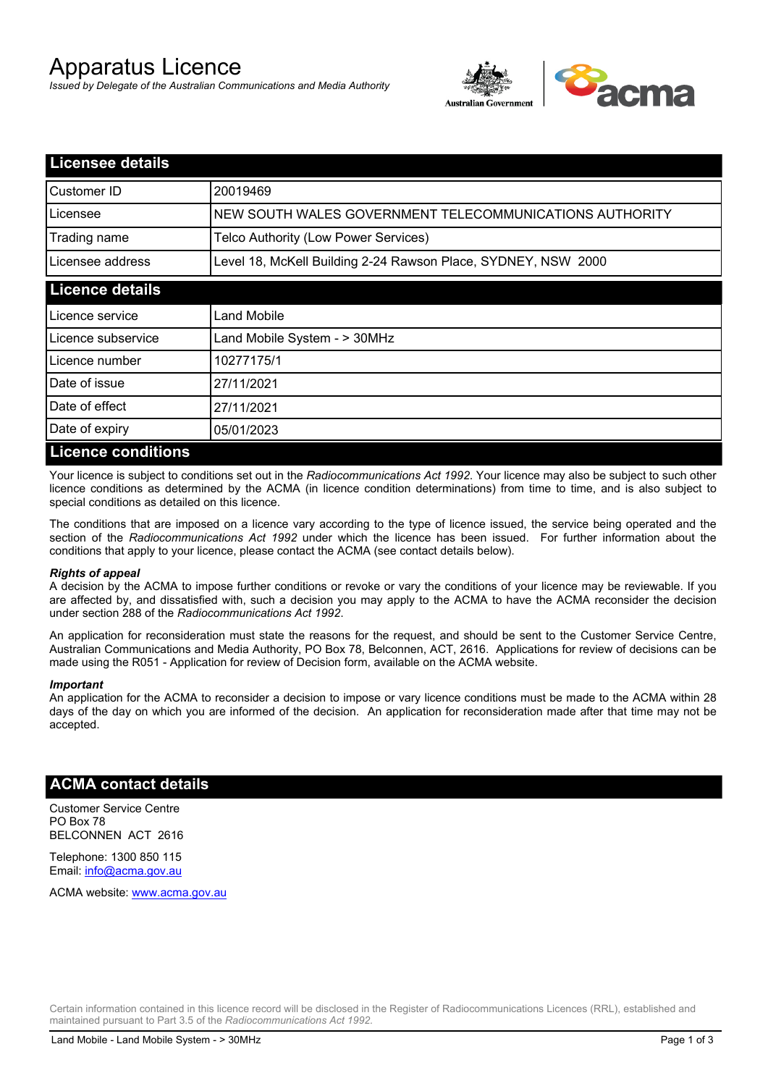# Apparatus Licence

*Issued by Delegate of the Australian Communications and Media Authority*



| <b>Licensee details</b>   |                                                               |
|---------------------------|---------------------------------------------------------------|
| Customer ID               | 20019469                                                      |
| Licensee                  | NEW SOUTH WALES GOVERNMENT TELECOMMUNICATIONS AUTHORITY       |
| Trading name              | Telco Authority (Low Power Services)                          |
| Licensee address          | Level 18, McKell Building 2-24 Rawson Place, SYDNEY, NSW 2000 |
| <b>Licence details</b>    |                                                               |
| l Licence service         | Land Mobile                                                   |
| Licence subservice        | Land Mobile System - > 30MHz                                  |
| Licence number            | 10277175/1                                                    |
| Date of issue             | 27/11/2021                                                    |
| Date of effect            | 27/11/2021                                                    |
| Date of expiry            | 05/01/2023                                                    |
| <b>Licence conditions</b> |                                                               |

Your licence is subject to conditions set out in the *Radiocommunications Act 1992*. Your licence may also be subject to such other licence conditions as determined by the ACMA (in licence condition determinations) from time to time, and is also subject to special conditions as detailed on this licence.

The conditions that are imposed on a licence vary according to the type of licence issued, the service being operated and the section of the *Radiocommunications Act 1992* under which the licence has been issued. For further information about the conditions that apply to your licence, please contact the ACMA (see contact details below).

#### *Rights of appeal*

A decision by the ACMA to impose further conditions or revoke or vary the conditions of your licence may be reviewable. If you are affected by, and dissatisfied with, such a decision you may apply to the ACMA to have the ACMA reconsider the decision under section 288 of the *Radiocommunications Act 1992*.

An application for reconsideration must state the reasons for the request, and should be sent to the Customer Service Centre, Australian Communications and Media Authority, PO Box 78, Belconnen, ACT, 2616. Applications for review of decisions can be made using the R051 - Application for review of Decision form, available on the ACMA website.

#### *Important*

An application for the ACMA to reconsider a decision to impose or vary licence conditions must be made to the ACMA within 28 days of the day on which you are informed of the decision. An application for reconsideration made after that time may not be accepted.

### **ACMA contact details**

Customer Service Centre PO Box 78 BELCONNEN ACT 2616

Telephone: 1300 850 115 Email: info@acma.gov.au

ACMA website: www.acma.gov.au

Certain information contained in this licence record will be disclosed in the Register of Radiocommunications Licences (RRL), established and maintained pursuant to Part 3.5 of the *Radiocommunications Act 1992.*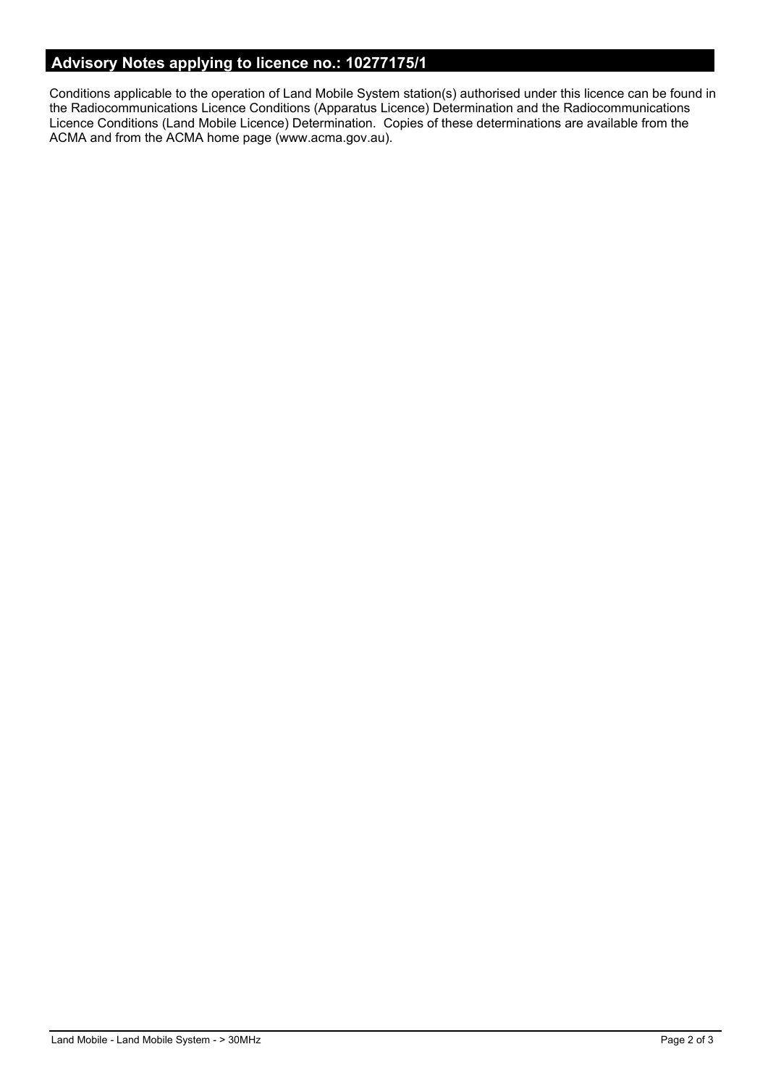# **Advisory Notes applying to licence no.: 10277175/1**

Conditions applicable to the operation of Land Mobile System station(s) authorised under this licence can be found in the Radiocommunications Licence Conditions (Apparatus Licence) Determination and the Radiocommunications Licence Conditions (Land Mobile Licence) Determination. Copies of these determinations are available from the ACMA and from the ACMA home page (www.acma.gov.au).